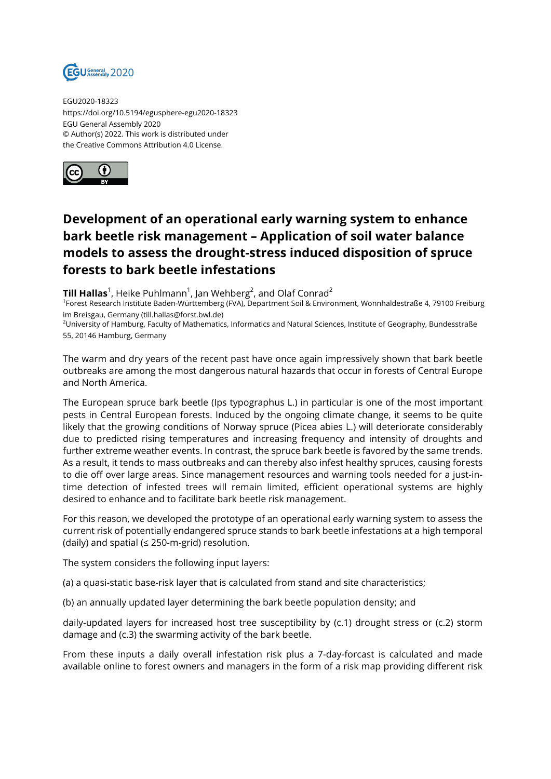

EGU2020-18323 https://doi.org/10.5194/egusphere-egu2020-18323 EGU General Assembly 2020 © Author(s) 2022. This work is distributed under the Creative Commons Attribution 4.0 License.



## **Development of an operational early warning system to enhance bark beetle risk management – Application of soil water balance models to assess the drought-stress induced disposition of spruce forests to bark beetle infestations**

 ${\rm\bf Till}$  <code>Hallas</code> $^1$ , Heike Puhlmann $^1$ , Jan Wehberg $^2$ , and Olaf Conrad $^2$ 

<sup>1</sup>Forest Research Institute Baden-Württemberg (FVA), Department Soil & Environment, Wonnhaldestraße 4, 79100 Freiburg im Breisgau, Germany (till.hallas@forst.bwl.de)

<sup>2</sup>University of Hamburg, Faculty of Mathematics, Informatics and Natural Sciences, Institute of Geography, Bundesstraße 55, 20146 Hamburg, Germany

The warm and dry years of the recent past have once again impressively shown that bark beetle outbreaks are among the most dangerous natural hazards that occur in forests of Central Europe and North America.

The European spruce bark beetle (Ips typographus L.) in particular is one of the most important pests in Central European forests. Induced by the ongoing climate change, it seems to be quite likely that the growing conditions of Norway spruce (Picea abies L.) will deteriorate considerably due to predicted rising temperatures and increasing frequency and intensity of droughts and further extreme weather events. In contrast, the spruce bark beetle is favored by the same trends. As a result, it tends to mass outbreaks and can thereby also infest healthy spruces, causing forests to die off over large areas. Since management resources and warning tools needed for a just-intime detection of infested trees will remain limited, efficient operational systems are highly desired to enhance and to facilitate bark beetle risk management.

For this reason, we developed the prototype of an operational early warning system to assess the current risk of potentially endangered spruce stands to bark beetle infestations at a high temporal (daily) and spatial ( $\leq$  250-m-grid) resolution.

The system considers the following input layers:

(a) a quasi-static base-risk layer that is calculated from stand and site characteristics;

(b) an annually updated layer determining the bark beetle population density; and

daily-updated layers for increased host tree susceptibility by (c.1) drought stress or (c.2) storm damage and (c.3) the swarming activity of the bark beetle.

From these inputs a daily overall infestation risk plus a 7-day-forcast is calculated and made available online to forest owners and managers in the form of a risk map providing different risk